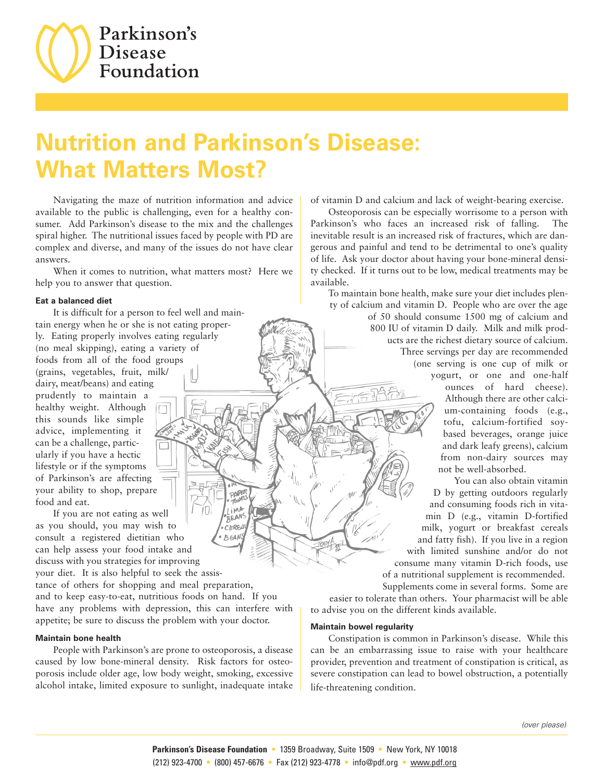

# **Nutrition and Parkinson's Disease: What Matters Most?**

iMA BEANS CEREA **BEAN** 

Navigating the maze of nutrition information and advice available to the public is challenging, even for a healthy consumer. Add Parkinson's disease to the mix and the challenges spiral higher. The nutritional issues faced by people with PD are complex and diverse, and many of the issues do not have clear answers.

When it comes to nutrition, what matters most? Here we help you to answer that question.

## **Eat a balanced diet**

It is difficult for a person to feel well and maintain energy when he or she is not eating properly. Eating properly involves eating regularly (no meal skipping), eating a variety of foods from all of the food groups (grains, vegetables, fruit, milk/ dairy, meat/beans) and eating prudently to maintain a healthy weight. Although this sounds like simple advice, implementing it can be a challenge, particularly if you have a hectic lifestyle or if the symptoms of Parkinson's are affecting your ability to shop, prepare food and eat.

If you are not eating as well as you should, you may wish to consult a registered dietitian who can help assess your food intake and discuss with you strategies for improving your diet. It is also helpful to seek the assis-

tance of others for shopping and meal preparation, and to keep easy-to-eat, nutritious foods on hand. If you have any problems with depression, this can interfere with appetite; be sure to discuss the problem with your doctor.

## **Maintain bone health**

People with Parkinson's are prone to osteoporosis, a disease caused by low bone-mineral density. Risk factors for osteoporosis include older age, low body weight, smoking, excessive alcohol intake, limited exposure to sunlight, inadequate intake

of vitamin D and calcium and lack of weight-bearing exercise.

Osteoporosis can be especially worrisome to a person with Parkinson's who faces an increased risk of falling. The inevitable result is an increased risk of fractures, which are dangerous and painful and tend to be detrimental to one's quality of life. Ask your doctor about having your bone-mineral density checked. If it turns out to be low, medical treatments may be available.

To maintain bone health, make sure your diet includes plenty of calcium and vitamin D. People who are over the age of 50 should consume 1500 mg of calcium and 800 IU of vitamin D daily. Milk and milk products are the richest dietary source of calcium. Three servings per day are recommended (one serving is one cup of milk or yogurt, or one and one-half ounces of hard cheese). Although there are other calcium-containing foods (e.g., tofu, calcium-fortified soybased beverages, orange juice and dark leafy greens), calcium from non-dairy sources may not be well-absorbed.

> You can also obtain vitamin D by getting outdoors regularly and consuming foods rich in vitamin D (e.g., vitamin D-fortified milk, yogurt or breakfast cereals and fatty fish). If you live in a region with limited sunshine and/or do not consume many vitamin D-rich foods, use of a nutritional supplement is recommended.

Supplements come in several forms. Some are easier to tolerate than others. Your pharmacist will be able to advise you on the different kinds available.

#### **Maintain bowel regularity**

Constipation is common in Parkinson's disease. While this can be an embarrassing issue to raise with your healthcare provider, prevention and treatment of constipation is critical, as severe constipation can lead to bowel obstruction, a potentially life-threatening condition.